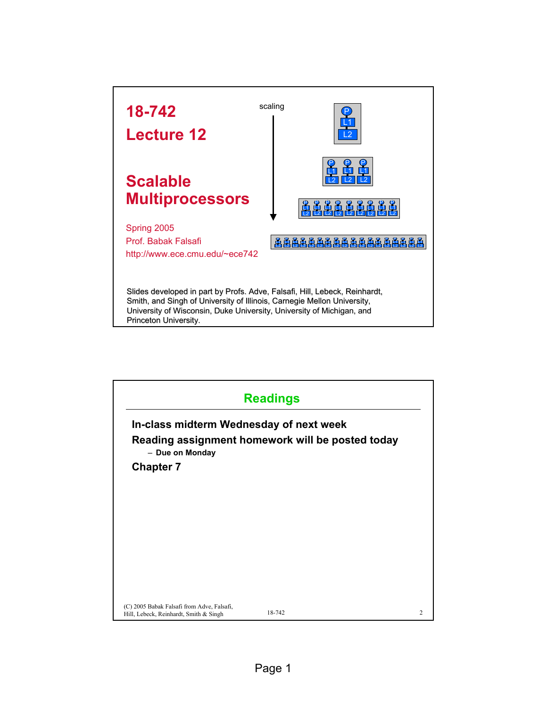

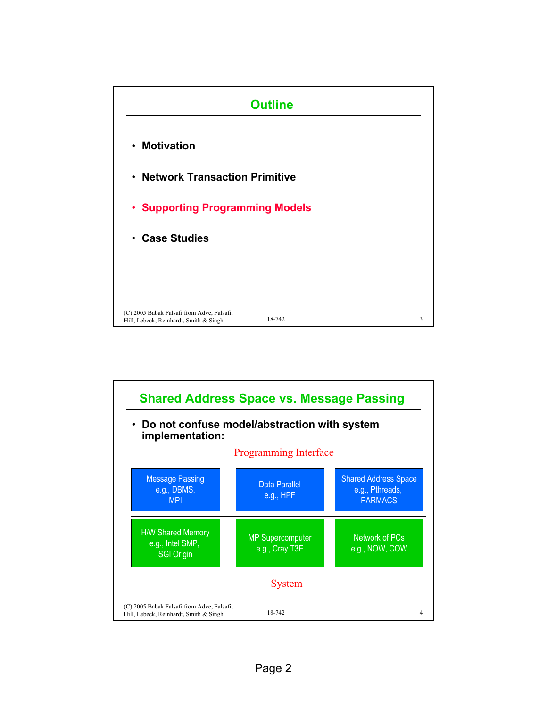

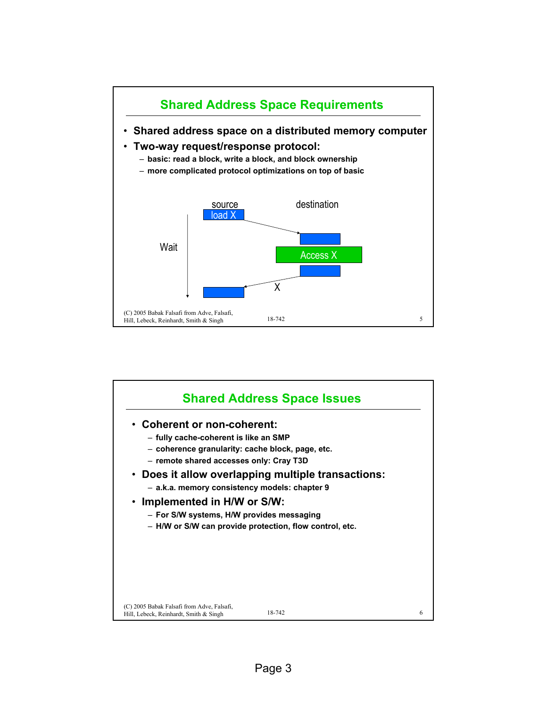

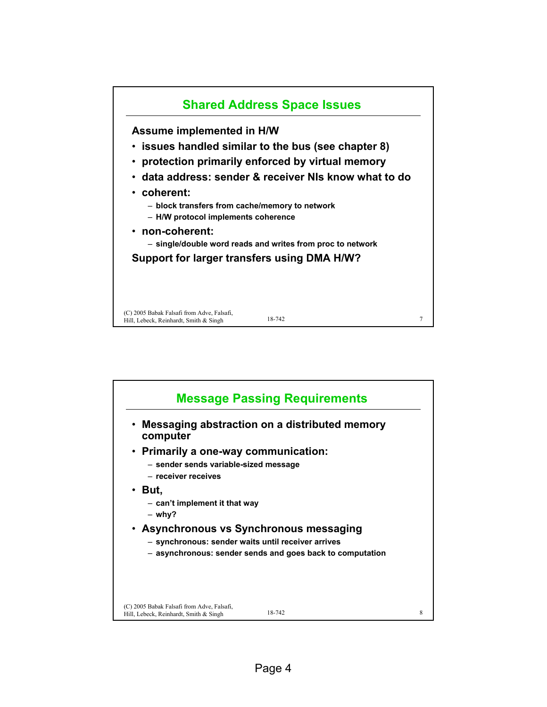

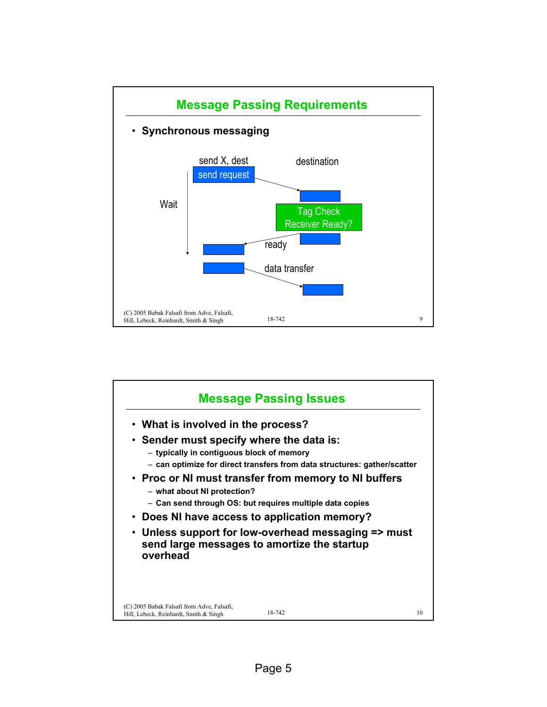

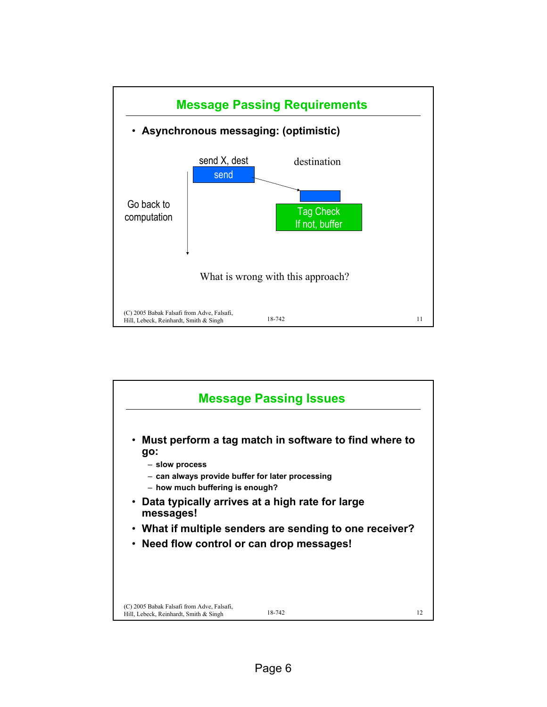

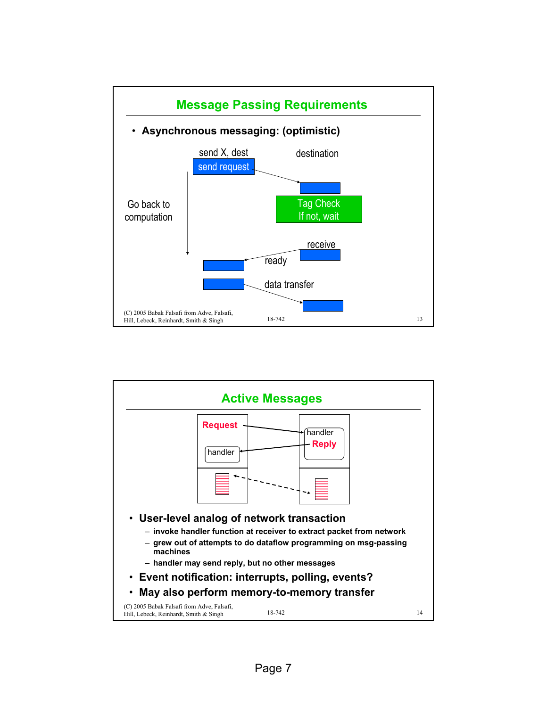

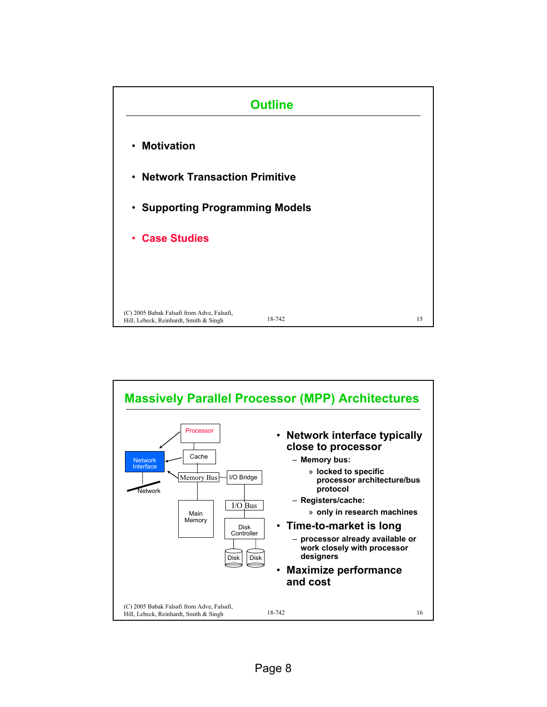

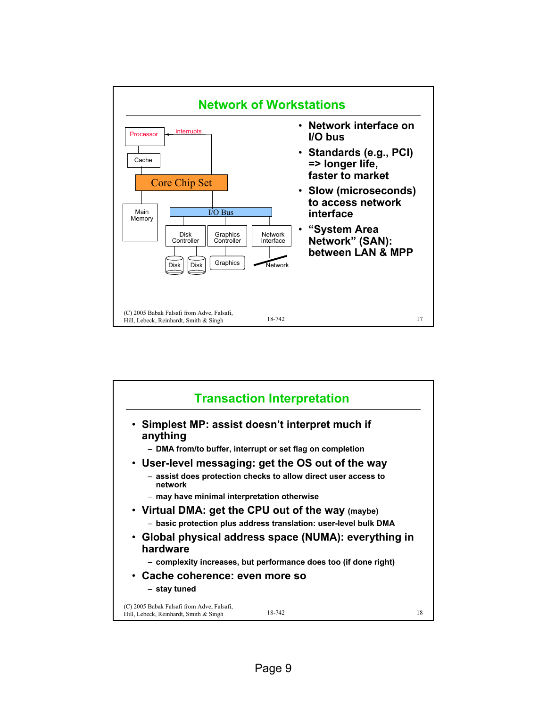

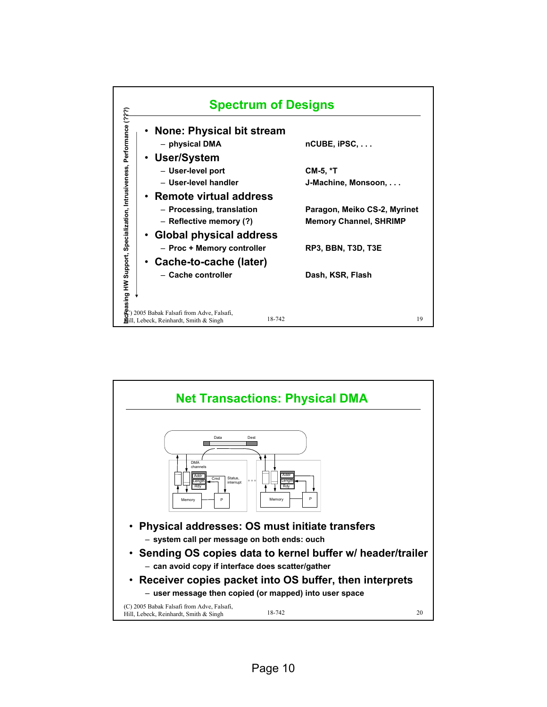

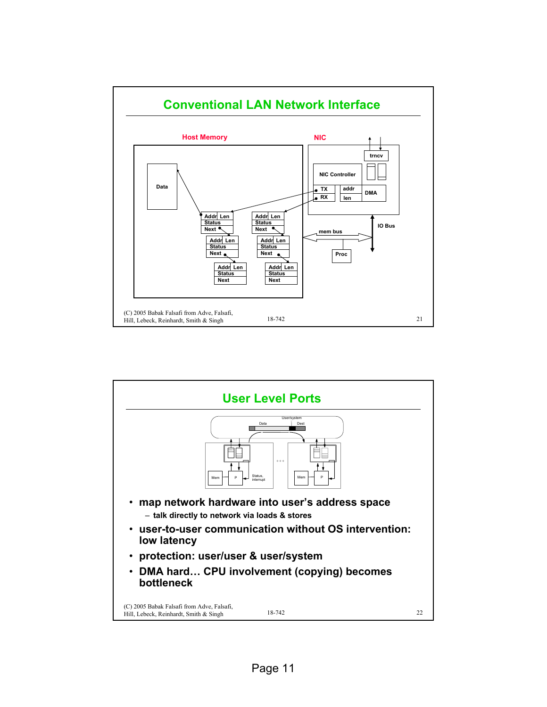

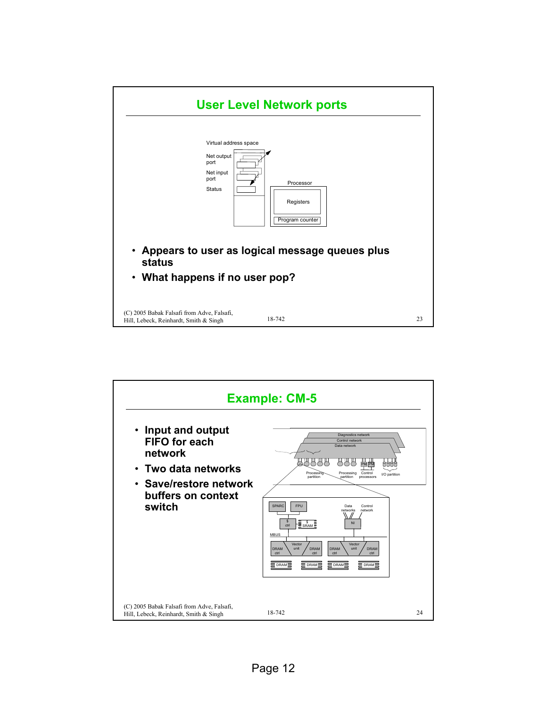

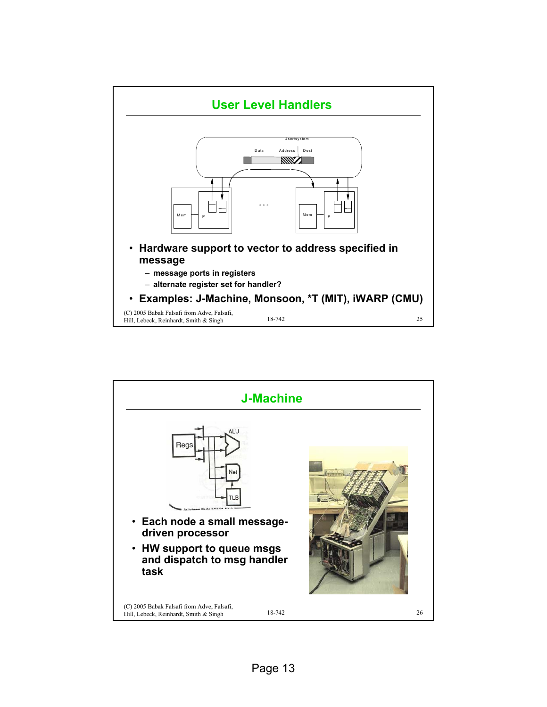

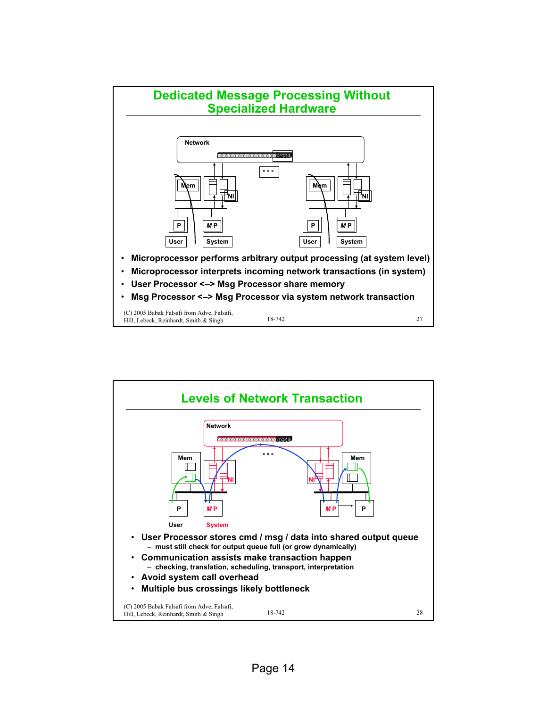

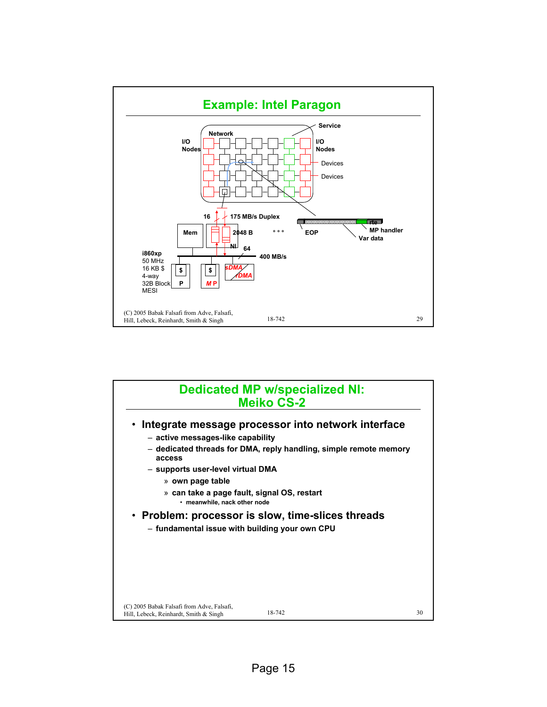